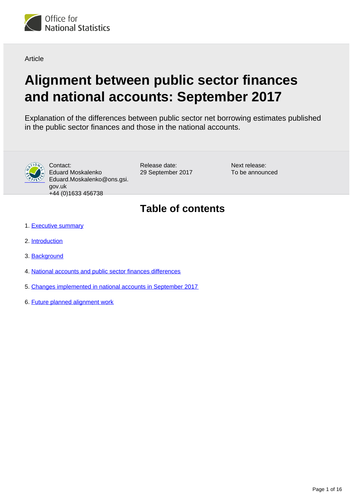

Article

# **Alignment between public sector finances and national accounts: September 2017**

Explanation of the differences between public sector net borrowing estimates published in the public sector finances and those in the national accounts.



Contact: Eduard Moskalenko Eduard.Moskalenko@ons.gsi. gov.uk +44 (0)1633 456738

Release date: 29 September 2017 Next release: To be announced

## **Table of contents**

- 1. [Executive summary](#page-1-0)
- 2. [Introduction](#page-1-1)
- 3. [Background](#page-1-2)
- 4. [National accounts and public sector finances differences](#page-2-0)
- 5. [Changes implemented in national accounts in September 2017](#page-11-0)
- 6. [Future planned alignment work](#page-15-0)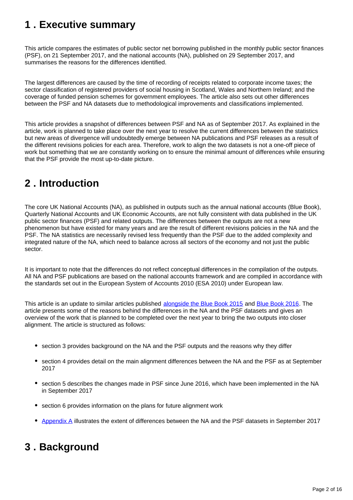## <span id="page-1-0"></span>**1 . Executive summary**

This article compares the estimates of public sector net borrowing published in the monthly public sector finances (PSF), on 21 September 2017, and the national accounts (NA), published on 29 September 2017, and summarises the reasons for the differences identified.

The largest differences are caused by the time of recording of receipts related to corporate income taxes; the sector classification of registered providers of social housing in Scotland, Wales and Northern Ireland; and the coverage of funded pension schemes for government employees. The article also sets out other differences between the PSF and NA datasets due to methodological improvements and classifications implemented.

This article provides a snapshot of differences between PSF and NA as of September 2017. As explained in the article, work is planned to take place over the next year to resolve the current differences between the statistics but new areas of divergence will undoubtedly emerge between NA publications and PSF releases as a result of the different revisions policies for each area. Therefore, work to align the two datasets is not a one-off piece of work but something that we are constantly working on to ensure the minimal amount of differences while ensuring that the PSF provide the most up-to-date picture.

## <span id="page-1-1"></span>**2 . Introduction**

The core UK National Accounts (NA), as published in outputs such as the annual national accounts (Blue Book), Quarterly National Accounts and UK Economic Accounts, are not fully consistent with data published in the UK public sector finances (PSF) and related outputs. The differences between the outputs are not a new phenomenon but have existed for many years and are the result of different revisions policies in the NA and the PSF. The NA statistics are necessarily revised less frequently than the PSF due to the added complexity and integrated nature of the NA, which need to balance across all sectors of the economy and not just the public sector.

It is important to note that the differences do not reflect conceptual differences in the compilation of the outputs. All NA and PSF publications are based on the national accounts framework and are compiled in accordance with the standards set out in the European System of Accounts 2010 (ESA 2010) under European law.

This article is an update to similar articles published [alongside the Blue Book 2015](http://www.ons.gov.uk/ons/guide-method/method-quality/specific/economy/national-accounts/articles/2011-present/progress-of-aligning-public-sector-finances-to-national-accounts-between-2013-and-2015.pdf) and [Blue Book 2016](https://www.ons.gov.uk/economy/governmentpublicsectorandtaxes/publicsectorfinance/articles/alignmentbetweenpublicsectorfinancesandnationalaccounts/previousReleases). The article presents some of the reasons behind the differences in the NA and the PSF datasets and gives an overview of the work that is planned to be completed over the next year to bring the two outputs into closer alignment. The article is structured as follows:

- section 3 provides background on the NA and the PSF outputs and the reasons why they differ
- section 4 provides detail on the main alignment differences between the NA and the PSF as at September 2017
- section 5 describes the changes made in PSF since June 2016, which have been implemented in the NA in September 2017
- section 6 provides information on the plans for future alignment work
- [Appendix A](https://www.ons.gov.uk/economy/governmentpublicsectorandtaxes/publicsectorfinance/datasets/differencesbetweenbluebook2016andthepublicsectorfinancesasatjune2016forcentralgovernmentlocalgovernmentandnonfinancialpubliccorporationsnetborrowing) illustrates the extent of differences between the NA and the PSF datasets in September 2017

## <span id="page-1-2"></span>**3 . Background**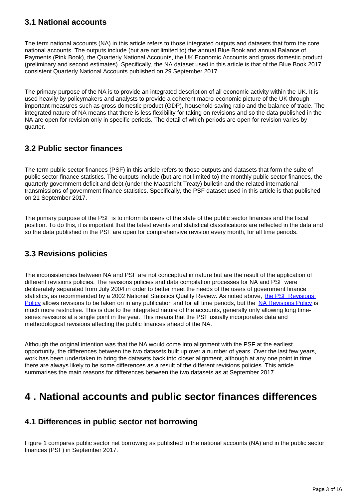### **3.1 National accounts**

The term national accounts (NA) in this article refers to those integrated outputs and datasets that form the core national accounts. The outputs include (but are not limited to) the annual Blue Book and annual Balance of Payments (Pink Book), the Quarterly National Accounts, the UK Economic Accounts and gross domestic product (preliminary and second estimates). Specifically, the NA dataset used in this article is that of the Blue Book 2017 consistent Quarterly National Accounts published on 29 September 2017.

The primary purpose of the NA is to provide an integrated description of all economic activity within the UK. It is used heavily by policymakers and analysts to provide a coherent macro-economic picture of the UK through important measures such as gross domestic product (GDP), household saving ratio and the balance of trade. The integrated nature of NA means that there is less flexibility for taking on revisions and so the data published in the NA are open for revision only in specific periods. The detail of which periods are open for revision varies by quarter.

### **3.2 Public sector finances**

The term public sector finances (PSF) in this article refers to those outputs and datasets that form the suite of public sector finance statistics. The outputs include (but are not limited to) the monthly public sector finances, the quarterly government deficit and debt (under the Maastricht Treaty) bulletin and the related international transmissions of government finance statistics. Specifically, the PSF dataset used in this article is that published on 21 September 2017.

The primary purpose of the PSF is to inform its users of the state of the public sector finances and the fiscal position. To do this, it is important that the latest events and statistical classifications are reflected in the data and so the data published in the PSF are open for comprehensive revision every month, for all time periods.

### **3.3 Revisions policies**

The inconsistencies between NA and PSF are not conceptual in nature but are the result of the application of different revisions policies. The revisions policies and data compilation processes for NA and PSF were deliberately separated from July 2004 in order to better meet the needs of the users of government finance statistics, as recommended by a 2002 National Statistics Quality Review. As noted above, the PSF Revisions [Policy](https://www.ons.gov.uk/file?uri=/methodology/methodologytopicsandstatisticalconcepts/revisions/revisionspoliciesforeconomicstatistics/publicsectorfinancesrevisionspolicytcm77184697.pdf) allows revisions to be taken on in any publication and for all time periods, but the [NA Revisions Policy](https://www.ons.gov.uk/file?uri=/methodology/methodologytopicsandstatisticalconcepts/revisions/revisionspoliciesforeconomicstatistics/narevisionspolicypublished15nov2016.pdf) is much more restrictive. This is due to the integrated nature of the accounts, generally only allowing long timeseries revisions at a single point in the year. This means that the PSF usually incorporates data and methodological revisions affecting the public finances ahead of the NA.

Although the original intention was that the NA would come into alignment with the PSF at the earliest opportunity, the differences between the two datasets built up over a number of years. Over the last few years, work has been undertaken to bring the datasets back into closer alignment, although at any one point in time there are always likely to be some differences as a result of the different revisions policies. This article summarises the main reasons for differences between the two datasets as at September 2017.

## <span id="page-2-0"></span>**4 . National accounts and public sector finances differences**

### **4.1 Differences in public sector net borrowing**

Figure 1 compares public sector net borrowing as published in the national accounts (NA) and in the public sector finances (PSF) in September 2017.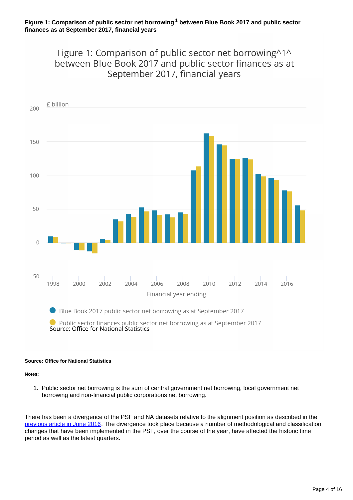Figure 1: Comparison of public sector net borrowing^1^ between Blue Book 2017 and public sector finances as at September 2017, financial years



#### **Source: Office for National Statistics**

**Notes:**

1. Public sector net borrowing is the sum of central government net borrowing, local government net borrowing and non-financial public corporations net borrowing.

There has been a divergence of the PSF and NA datasets relative to the alignment position as described in the [previous article in June 2016.](https://www.ons.gov.uk/economy/governmentpublicsectorandtaxes/publicsectorfinance/articles/alignmentbetweenpublicsectorfinancesandnationalaccounts/june2016) The divergence took place because a number of methodological and classification changes that have been implemented in the PSF, over the course of the year, have affected the historic time period as well as the latest quarters.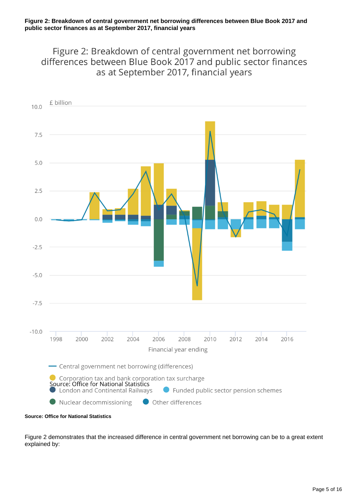Figure 2: Breakdown of central government net borrowing differences between Blue Book 2017 and public sector finances as at September 2017, financial years



Figure 2 demonstrates that the increased difference in central government net borrowing can be to a great extent explained by: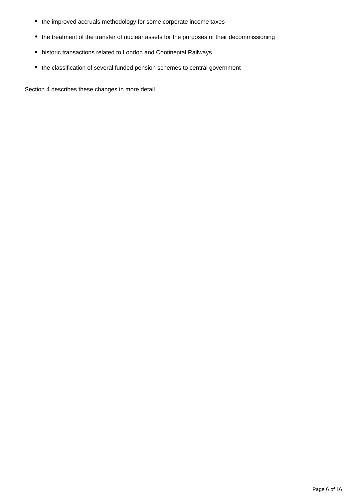- the improved accruals methodology for some corporate income taxes
- the treatment of the transfer of nuclear assets for the purposes of their decommissioning
- historic transactions related to London and Continental Railways
- the classification of several funded pension schemes to central government

Section 4 describes these changes in more detail.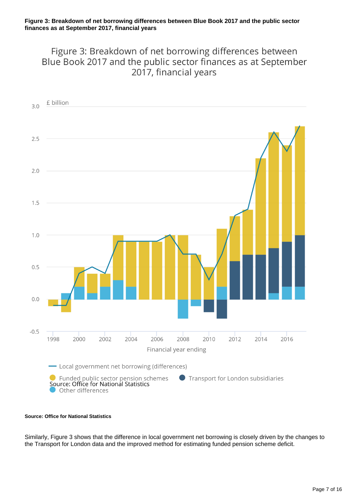Figure 3: Breakdown of net borrowing differences between Blue Book 2017 and the public sector finances as at September 2017, financial years



#### **Source: Office for National Statistics**

Similarly, Figure 3 shows that the difference in local government net borrowing is closely driven by the changes to the Transport for London data and the improved method for estimating funded pension scheme deficit.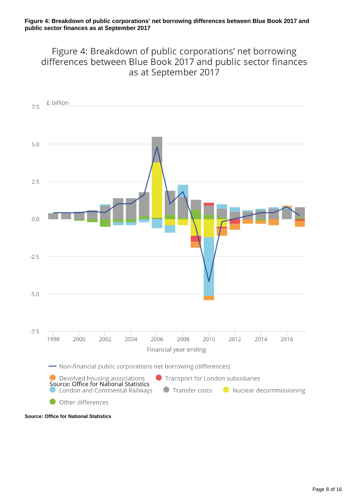Figure 4: Breakdown of public corporations' net borrowing differences between Blue Book 2017 and public sector finances as at September 2017



**Source: Office for National Statistics**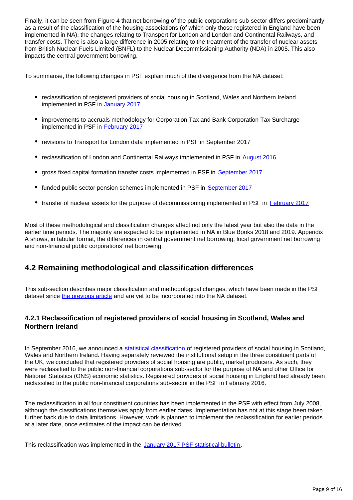Finally, it can be seen from Figure 4 that net borrowing of the public corporations sub-sector differs predominantly as a result of the classification of the housing associations (of which only those registered in England have been implemented in NA), the changes relating to Transport for London and London and Continental Railways, and transfer costs. There is also a large difference in 2005 relating to the treatment of the transfer of nuclear assets from British Nuclear Fuels Limited (BNFL) to the Nuclear Decommissioning Authority (NDA) in 2005. This also impacts the central government borrowing.

To summarise, the following changes in PSF explain much of the divergence from the NA dataset:

- reclassification of registered providers of social housing in Scotland, Wales and Northern Ireland implemented in PSF in [January 2017](https://www.ons.gov.uk/economy/governmentpublicsectorandtaxes/publicsectorfinance/bulletins/publicsectorfinances/jan2017)
- improvements to accruals methodology for Corporation Tax and Bank Corporation Tax Surcharge implemented in PSF in **[February 2017](https://www.ons.gov.uk/economy/governmentpublicsectorandtaxes/publicsectorfinance/bulletins/publicsectorfinances/feb2017)**
- revisions to Transport for London data implemented in PSF in September 2017
- reclassification of London and Continental Railways implemented in PSF in [August 2016](https://www.ons.gov.uk/economy/governmentpublicsectorandtaxes/publicsectorfinance/bulletins/publicsectorfinances/aug2016)
- gross fixed capital formation transfer costs implemented in PSF in [September 2017](https://www.ons.gov.uk/economy/governmentpublicsectorandtaxes/publicsectorfinance/bulletins/publicsectorfinances/august2017)
- funded public sector pension schemes implemented in PSF in [September 2017](https://www.ons.gov.uk/economy/governmentpublicsectorandtaxes/publicsectorfinance/bulletins/publicsectorfinances/august2017)
- transfer of nuclear assets for the purpose of decommissioning implemented in PSF in [February 2017](https://www.ons.gov.uk/economy/governmentpublicsectorandtaxes/publicsectorfinance/bulletins/publicsectorfinances/feb2017)

Most of these methodological and classification changes affect not only the latest year but also the data in the earlier time periods. The majority are expected to be implemented in NA in Blue Books 2018 and 2019. Appendix A shows, in tabular format, the differences in central government net borrowing, local government net borrowing and non-financial public corporations' net borrowing.

### **4.2 Remaining methodological and classification differences**

This sub-section describes major classification and methodological changes, which have been made in the PSF dataset since [the previous article](https://www.ons.gov.uk/economy/governmentpublicsectorandtaxes/publicsectorfinance/articles/alignmentbetweenpublicsectorfinancesandnationalaccounts/previousReleases) and are yet to be incorporated into the NA dataset.

### **4.2.1 Reclassification of registered providers of social housing in Scotland, Wales and Northern Ireland**

In September 2016, we announced a [statistical classification](https://www.ons.gov.uk/economy/nationalaccounts/uksectoraccounts/articles/statisticalclassificationofregisteredprovidersofsocialhousinginscotlandwalesandnorthernireland/september2016) of registered providers of social housing in Scotland, Wales and Northern Ireland. Having separately reviewed the institutional setup in the three constituent parts of the UK, we concluded that registered providers of social housing are public, market producers. As such, they were reclassified to the public non-financial corporations sub-sector for the purpose of NA and other Office for National Statistics (ONS) economic statistics. Registered providers of social housing in England had already been reclassified to the public non-financial corporations sub-sector in the PSF in February 2016.

The reclassification in all four constituent countries has been implemented in the PSF with effect from July 2008, although the classifications themselves apply from earlier dates. Implementation has not at this stage been taken further back due to data limitations. However, work is planned to implement the reclassification for earlier periods at a later date, once estimates of the impact can be derived.

This reclassification was implemented in the [January 2017 PSF statistical bulletin.](https://www.ons.gov.uk/economy/governmentpublicsectorandtaxes/publicsectorfinance/bulletins/publicsectorfinances/jan2017)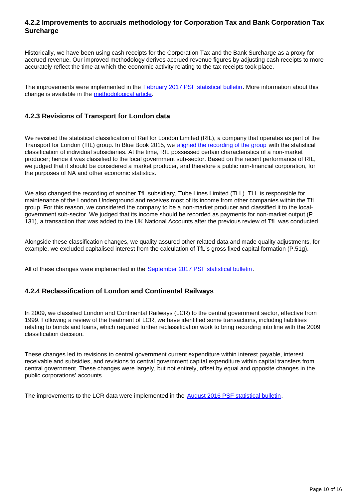### **4.2.2 Improvements to accruals methodology for Corporation Tax and Bank Corporation Tax Surcharge**

Historically, we have been using cash receipts for the Corporation Tax and the Bank Surcharge as a proxy for accrued revenue. Our improved methodology derives accrued revenue figures by adjusting cash receipts to more accurately reflect the time at which the economic activity relating to the tax receipts took place.

The improvements were implemented in the [February 2017 PSF statistical bulletin](https://www.ons.gov.uk/economy/governmentpublicsectorandtaxes/publicsectorfinance/bulletins/publicsectorfinances/feb2017). More information about this change is available in the [methodological article](https://www.ons.gov.uk/economy/governmentpublicsectorandtaxes/publicsectorfinance/articles/improvementstoaccrualsmethodologyforcorporationtaxbankcorporationtaxsurchargeandthebanklevy/2017).

### **4.2.3 Revisions of Transport for London data**

We revisited the statistical classification of Rail for London Limited (RfL), a company that operates as part of the Transport for London (TfL) group. In Blue Book 2015, we [aligned the recording of the group](https://www.ons.gov.uk/file?uri=/economy/nationalaccounts/uksectoraccounts/articles/nationalaccountsarticles/classificationchangestonationalaccountsforbluebook2015/classificationsarticlev2_tcm77-416190(3).pdf) with the statistical classification of individual subsidiaries. At the time, RfL possessed certain characteristics of a non-market producer; hence it was classified to the local government sub-sector. Based on the recent performance of RfL, we judged that it should be considered a market producer, and therefore a public non-financial corporation, for the purposes of NA and other economic statistics.

We also changed the recording of another TfL subsidiary, Tube Lines Limited (TLL). TLL is responsible for maintenance of the London Underground and receives most of its income from other companies within the TfL group. For this reason, we considered the company to be a non-market producer and classified it to the localgovernment sub-sector. We judged that its income should be recorded as payments for non-market output (P. 131), a transaction that was added to the UK National Accounts after the previous review of TfL was conducted.

Alongside these classification changes, we quality assured other related data and made quality adjustments, for example, we excluded capitalised interest from the calculation of TfL's gross fixed capital formation (P.51g).

All of these changes were implemented in the [September 2017 PSF statistical bulletin](https://www.ons.gov.uk/economy/governmentpublicsectorandtaxes/publicsectorfinance/bulletins/publicsectorfinances/august2017).

### **4.2.4 Reclassification of London and Continental Railways**

In 2009, we classified London and Continental Railways (LCR) to the central government sector, effective from 1999. Following a review of the treatment of LCR, we have identified some transactions, including liabilities relating to bonds and loans, which required further reclassification work to bring recording into line with the 2009 classification decision.

These changes led to revisions to central government current expenditure within interest payable, interest receivable and subsidies, and revisions to central government capital expenditure within capital transfers from central government. These changes were largely, but not entirely, offset by equal and opposite changes in the public corporations' accounts.

The improvements to the LCR data were implemented in the [August 2016 PSF statistical bulletin](https://www.ons.gov.uk/economy/governmentpublicsectorandtaxes/publicsectorfinance/bulletins/publicsectorfinances/aug2016).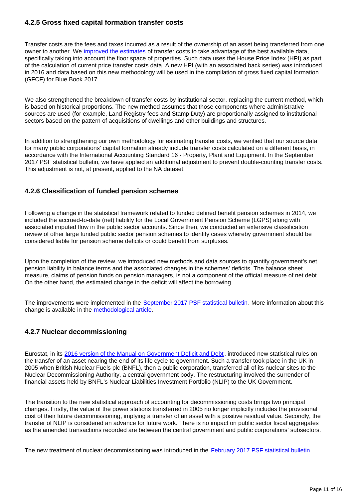### **4.2.5 Gross fixed capital formation transfer costs**

Transfer costs are the fees and taxes incurred as a result of the ownership of an asset being transferred from one owner to another. We [improved the estimates](https://www.ons.gov.uk/economy/grossdomesticproductgdp/articles/annualimprovementstogrossfixedcapitalformationsourcedataforbluebook2017/2017-02-16) of transfer costs to take advantage of the best available data, specifically taking into account the floor space of properties. Such data uses the House Price Index (HPI) as part of the calculation of current price transfer costs data. A new HPI (with an associated back series) was introduced in 2016 and data based on this new methodology will be used in the compilation of gross fixed capital formation (GFCF) for Blue Book 2017.

We also strengthened the breakdown of transfer costs by institutional sector, replacing the current method, which is based on historical proportions. The new method assumes that those components where administrative sources are used (for example, Land Registry fees and Stamp Duty) are proportionally assigned to institutional sectors based on the pattern of acquisitions of dwellings and other buildings and structures.

In addition to strengthening our own methodology for estimating transfer costs, we verified that our source data for many public corporations' capital formation already include transfer costs calculated on a different basis, in accordance with the International Accounting Standard 16 - Property, Plant and Equipment. In the September 2017 PSF statistical bulletin, we have applied an additional adjustment to prevent double-counting transfer costs. This adjustment is not, at present, applied to the NA dataset.

### **4.2.6 Classification of funded pension schemes**

Following a change in the statistical framework related to funded defined benefit pension schemes in 2014, we included the accrued-to-date (net) liability for the Local Government Pension Scheme (LGPS) along with associated imputed flow in the public sector accounts. Since then, we conducted an extensive classification review of other large funded public sector pension schemes to identify cases whereby government should be considered liable for pension scheme deficits or could benefit from surpluses.

Upon the completion of the review, we introduced new methods and data sources to quantify government's net pension liability in balance terms and the associated changes in the schemes' deficits. The balance sheet measure, claims of pension funds on pension managers, is not a component of the official measure of net debt. On the other hand, the estimated change in the deficit will affect the borrowing.

The improvements were implemented in the [September 2017 PSF statistical bulletin.](https://www.ons.gov.uk/economy/governmentpublicsectorandtaxes/publicsectorfinance/bulletins/publicsectorfinances/august2017) More information about this change is available in the [methodological article](https://www.ons.gov.uk/economy/governmentpublicsectorandtaxes/publicsectorfinance/articles/employmentrelatedpensionsinpublicsectorfinances/2017-09-21).

### **4.2.7 Nuclear decommissioning**

Eurostat, in its [2016 version of the Manual on Government Deficit and Debt](http://ec.europa.eu/eurostat/web/government-finance-statistics/methodology/manuals), introduced new statistical rules on the transfer of an asset nearing the end of its life cycle to government. Such a transfer took place in the UK in 2005 when British Nuclear Fuels plc (BNFL), then a public corporation, transferred all of its nuclear sites to the Nuclear Decommissioning Authority, a central government body. The restructuring involved the surrender of financial assets held by BNFL's Nuclear Liabilities Investment Portfolio (NLIP) to the UK Government.

The transition to the new statistical approach of accounting for decommissioning costs brings two principal changes. Firstly, the value of the power stations transferred in 2005 no longer implicitly includes the provisional cost of their future decommissioning, implying a transfer of an asset with a positive residual value. Secondly, the transfer of NLIP is considered an advance for future work. There is no impact on public sector fiscal aggregates as the amended transactions recorded are between the central government and public corporations' subsectors.

The new treatment of nuclear decommissioning was introduced in the [February 2017 PSF statistical bulletin.](https://www.ons.gov.uk/economy/governmentpublicsectorandtaxes/publicsectorfinance/bulletins/publicsectorfinances/feb2017)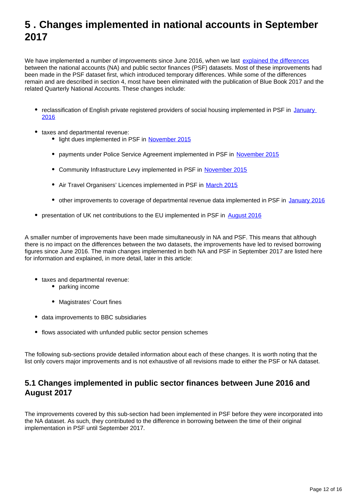## <span id="page-11-0"></span>**5 . Changes implemented in national accounts in September 2017**

We have implemented a number of improvements since June 2016, when we last [explained the differences](http://www.ons.gov.uk/ons/guide-method/method-quality/specific/economy/national-accounts/articles/2011-present/progress-of-aligning-public-sector-finances-to-national-accounts-between-2013-and-2015.pdf) between the national accounts (NA) and public sector finances (PSF) datasets. Most of these improvements had been made in the PSF dataset first, which introduced temporary differences. While some of the differences remain and are described in section 4, most have been eliminated with the publication of Blue Book 2017 and the related Quarterly National Accounts. These changes include:

- reclassification of English private registered providers of social housing implemented in PSF in January [2016](https://www.ons.gov.uk/economy/governmentpublicsectorandtaxes/publicsectorfinance/bulletins/publicsectorfinances/january2016)
- taxes and departmental revenue:
	- light dues implemented in PSF in [November 2015](https://www.ons.gov.uk/economy/governmentpublicsectorandtaxes/publicsectorfinance/bulletins/publicsectorfinances/november2015)
	- payments under Police Service Agreement implemented in PSF in [November 2015](https://www.ons.gov.uk/economy/governmentpublicsectorandtaxes/publicsectorfinance/bulletins/publicsectorfinances/november2015)
	- Community Infrastructure Levy implemented in PSF in [November 2015](https://www.ons.gov.uk/economy/governmentpublicsectorandtaxes/publicsectorfinance/bulletins/publicsectorfinances/november2015)
	- Air Travel Organisers' Licences implemented in PSF in [March 2015](https://www.ons.gov.uk/economy/governmentpublicsectorandtaxes/publicsectorfinance/bulletins/publicsectorfinances/2015-04-23)
	- other improvements to coverage of departmental revenue data implemented in PSF in [January 2016](https://www.ons.gov.uk/economy/governmentpublicsectorandtaxes/publicsectorfinance/bulletins/publicsectorfinances/january2016)
- **•** presentation of UK net contributions to the EU implemented in PSF in [August 2016](https://www.ons.gov.uk/economy/governmentpublicsectorandtaxes/publicsectorfinance/bulletins/publicsectorfinances/aug2016)

A smaller number of improvements have been made simultaneously in NA and PSF. This means that although there is no impact on the differences between the two datasets, the improvements have led to revised borrowing figures since June 2016. The main changes implemented in both NA and PSF in September 2017 are listed here for information and explained, in more detail, later in this article:

- taxes and departmental revenue:
	- parking income
	- Magistrates' Court fines
- data improvements to BBC subsidiaries
- flows associated with unfunded public sector pension schemes

The following sub-sections provide detailed information about each of these changes. It is worth noting that the list only covers major improvements and is not exhaustive of all revisions made to either the PSF or NA dataset.

### **5.1 Changes implemented in public sector finances between June 2016 and August 2017**

The improvements covered by this sub-section had been implemented in PSF before they were incorporated into the NA dataset. As such, they contributed to the difference in borrowing between the time of their original implementation in PSF until September 2017.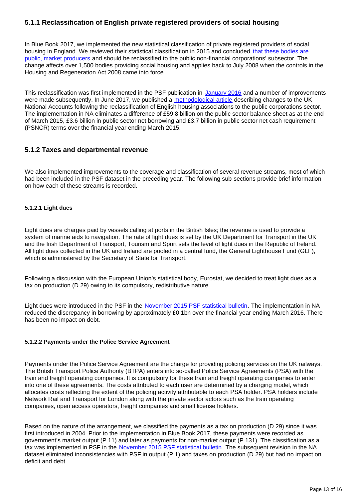### **5.1.1 Reclassification of English private registered providers of social housing**

In Blue Book 2017, we implemented the new statistical classification of private registered providers of social housing in England. We reviewed their statistical classification in 2015 and concluded that these bodies are [public, market producers](http://webarchive.nationalarchives.gov.uk/20160105160709/http:/www.ons.gov.uk/ons/rel/na-classification/national-accounts-sector-classification/classification-update---october-2015/index.html) and should be reclassified to the public non-financial corporations' subsector. The change affects over 1,500 bodies providing social housing and applies back to July 2008 when the controls in the Housing and Regeneration Act 2008 came into force.

This reclassification was first implemented in the PSF publication in [January 2016](https://www.ons.gov.uk/economy/governmentpublicsectorandtaxes/publicsectorfinance/bulletins/publicsectorfinances/january2016) and a number of improvements were made subsequently. In June 2017, we published a [methodological article](https://www.ons.gov.uk/releases/nationalaccountsarticlesmethodsarticleonimplementationofreclassificationofenglandhousingassociationandotherclassificationdecisions) describing changes to the UK National Accounts following the reclassification of English housing associations to the public corporations sector. The implementation in NA eliminates a difference of £59.8 billion on the public sector balance sheet as at the end of March 2015, £3.6 billion in public sector net borrowing and £3.7 billion in public sector net cash requirement (PSNCR) terms over the financial year ending March 2015.

### **5.1.2 Taxes and departmental revenue**

We also implemented improvements to the coverage and classification of several revenue streams, most of which had been included in the PSF dataset in the preceding year. The following sub-sections provide brief information on how each of these streams is recorded.

### **5.1.2.1 Light dues**

Light dues are charges paid by vessels calling at ports in the British Isles; the revenue is used to provide a system of marine aids to navigation. The rate of light dues is set by the UK Department for Transport in the UK and the Irish Department of Transport, Tourism and Sport sets the level of light dues in the Republic of Ireland. All light dues collected in the UK and Ireland are pooled in a central fund, the General Lighthouse Fund (GLF), which is administered by the Secretary of State for Transport.

Following a discussion with the European Union's statistical body, Eurostat, we decided to treat light dues as a tax on production (D.29) owing to its compulsory, redistributive nature.

Light dues were introduced in the PSF in the [November 2015 PSF statistical bulletin](https://www.ons.gov.uk/economy/governmentpublicsectorandtaxes/publicsectorfinance/bulletins/publicsectorfinances/november2015). The implementation in NA reduced the discrepancy in borrowing by approximately £0.1bn over the financial year ending March 2016. There has been no impact on debt.

### **5.1.2.2 Payments under the Police Service Agreement**

Payments under the Police Service Agreement are the charge for providing policing services on the UK railways. The British Transport Police Authority (BTPA) enters into so-called Police Service Agreements (PSA) with the train and freight operating companies. It is compulsory for these train and freight operating companies to enter into one of these agreements. The costs attributed to each user are determined by a charging model, which allocates costs reflecting the extent of the policing activity attributable to each PSA holder. PSA holders include Network Rail and Transport for London along with the private sector actors such as the train operating companies, open access operators, freight companies and small license holders.

Based on the nature of the arrangement, we classified the payments as a tax on production (D.29) since it was first introduced in 2004. Prior to the implementation in Blue Book 2017, these payments were recorded as government's market output (P.11) and later as payments for non-market output (P.131). The classification as a tax was implemented in PSF in the [November 2015 PSF statistical bulletin.](https://www.ons.gov.uk/economy/governmentpublicsectorandtaxes/publicsectorfinance/bulletins/publicsectorfinances/november2015) The subsequent revision in the NA dataset eliminated inconsistencies with PSF in output (P.1) and taxes on production (D.29) but had no impact on deficit and debt.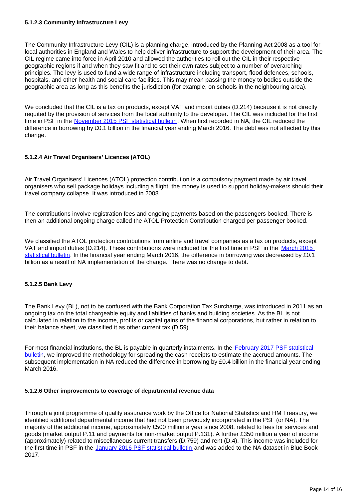#### **5.1.2.3 Community Infrastructure Levy**

The Community Infrastructure Levy (CIL) is a planning charge, introduced by the Planning Act 2008 as a tool for local authorities in England and Wales to help deliver infrastructure to support the development of their area. The CIL regime came into force in April 2010 and allowed the authorities to roll out the CIL in their respective geographic regions if and when they saw fit and to set their own rates subject to a number of overarching principles. The levy is used to fund a wide range of infrastructure including transport, flood defences, schools, hospitals, and other health and social care facilities. This may mean passing the money to bodies outside the geographic area as long as this benefits the jurisdiction (for example, on schools in the neighbouring area).

We concluded that the CIL is a tax on products, except VAT and import duties (D.214) because it is not directly requited by the provision of services from the local authority to the developer. The CIL was included for the first time in PSF in the [November 2015 PSF statistical bulletin](https://www.ons.gov.uk/economy/governmentpublicsectorandtaxes/publicsectorfinance/bulletins/publicsectorfinances/november2015). When first recorded in NA, the CIL reduced the difference in borrowing by £0.1 billion in the financial year ending March 2016. The debt was not affected by this change.

### **5.1.2.4 Air Travel Organisers' Licences (ATOL)**

Air Travel Organisers' Licences (ATOL) protection contribution is a compulsory payment made by air travel organisers who sell package holidays including a flight; the money is used to support holiday-makers should their travel company collapse. It was introduced in 2008.

The contributions involve registration fees and ongoing payments based on the passengers booked. There is then an additional ongoing charge called the ATOL Protection Contribution charged per passenger booked.

We classified the ATOL protection contributions from airline and travel companies as a tax on products, except VAT and import duties (D.214). These contributions were included for the first time in PSF in the [March 2015](https://www.ons.gov.uk/economy/governmentpublicsectorandtaxes/publicsectorfinance/bulletins/publicsectorfinances/2015-04-23)  [statistical bulletin](https://www.ons.gov.uk/economy/governmentpublicsectorandtaxes/publicsectorfinance/bulletins/publicsectorfinances/2015-04-23). In the financial year ending March 2016, the difference in borrowing was decreased by £0.1 billion as a result of NA implementation of the change. There was no change to debt.

### **5.1.2.5 Bank Levy**

The Bank Levy (BL), not to be confused with the Bank Corporation Tax Surcharge, was introduced in 2011 as an ongoing tax on the total chargeable equity and liabilities of banks and building societies. As the BL is not calculated in relation to the income, profits or capital gains of the financial corporations, but rather in relation to their balance sheet, we classified it as other current tax (D.59).

For most financial institutions, the BL is payable in quarterly instalments. In the February 2017 PSF statistical [bulletin,](https://www.ons.gov.uk/economy/governmentpublicsectorandtaxes/publicsectorfinance/bulletins/publicsectorfinances/feb2017) we improved the methodology for spreading the cash receipts to estimate the accrued amounts. The subsequent implementation in NA reduced the difference in borrowing by £0.4 billion in the financial year ending March 2016.

#### **5.1.2.6 Other improvements to coverage of departmental revenue data**

Through a joint programme of quality assurance work by the Office for National Statistics and HM Treasury, we identified additional departmental income that had not been previously incorporated in the PSF (or NA). The majority of the additional income, approximately £500 million a year since 2008, related to fees for services and goods (market output P.11 and payments for non-market output P.131). A further £350 million a year of income (approximately) related to miscellaneous current transfers (D.759) and rent (D.4). This income was included for the first time in PSF in the [January 2016 PSF statistical bulletin](http://www.ons.gov.uk/economy/governmentpublicsectorandtaxes/publicsectorfinance/bulletins/publicsectorfinances/january2016) and was added to the NA dataset in Blue Book 2017.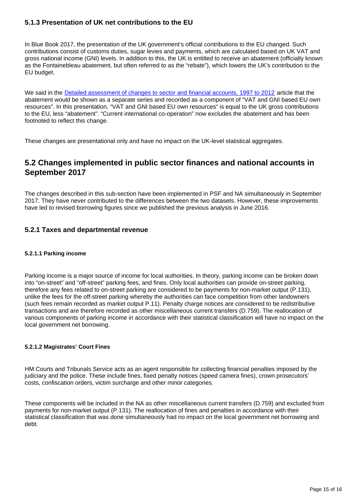### **5.1.3 Presentation of UK net contributions to the EU**

In Blue Book 2017, the presentation of the UK government's official contributions to the EU changed. Such contributions consist of customs duties, sugar levies and payments, which are calculated based on UK VAT and gross national income (GNI) levels. In addition to this, the UK is entitled to receive an abatement (officially known as the Fontainebleau abatement, but often referred to as the "rebate"), which lowers the UK's contribution to the EU budget.

We said in the [Detailed assessment of changes to sector and financial accounts, 1997 to 2012](https://cy.ons.gov.uk/economy/nationalaccounts/uksectoraccounts/articles/nationalaccountsarticles/detailedassessmentofchangestosectorandfinancialaccounts1997to2012) article that the abatement would be shown as a separate series and recorded as a component of "VAT and GNI based EU own resources". In this presentation, "VAT and GNI based EU own resources" is equal to the UK gross contributions to the EU, less "abatement". "Current international co-operation" now excludes the abatement and has been footnoted to reflect this change.

These changes are presentational only and have no impact on the UK-level statistical aggregates.

### **5.2 Changes implemented in public sector finances and national accounts in September 2017**

The changes described in this sub-section have been implemented in PSF and NA simultaneously in September 2017. They have never contributed to the differences between the two datasets. However, these improvements have led to revised borrowing figures since we published the previous analysis in June 2016.

### **5.2.1 Taxes and departmental revenue**

### **5.2.1.1 Parking income**

Parking income is a major source of income for local authorities. In theory, parking income can be broken down into "on-street" and "off-street" parking fees, and fines. Only local authorities can provide on-street parking, therefore any fees related to on-street parking are considered to be payments for non-market output (P.131), unlike the fees for the off-street parking whereby the authorities can face competition from other landowners (such fees remain recorded as market output P.11). Penalty charge notices are considered to be redistributive transactions and are therefore recorded as other miscellaneous current transfers (D.759). The reallocation of various components of parking income in accordance with their statistical classification will have no impact on the local government net borrowing.

### **5.2.1.2 Magistrates' Court Fines**

HM Courts and Tribunals Service acts as an agent responsible for collecting financial penalties imposed by the judiciary and the police. These include fines, fixed penalty notices (speed camera fines), crown prosecutors' costs, confiscation orders, victim surcharge and other minor categories.

These components will be included in the NA as other miscellaneous current transfers (D.759) and excluded from payments for non-market output (P.131). The reallocation of fines and penalties in accordance with their statistical classification that was done simultaneously had no impact on the local government net borrowing and debt.